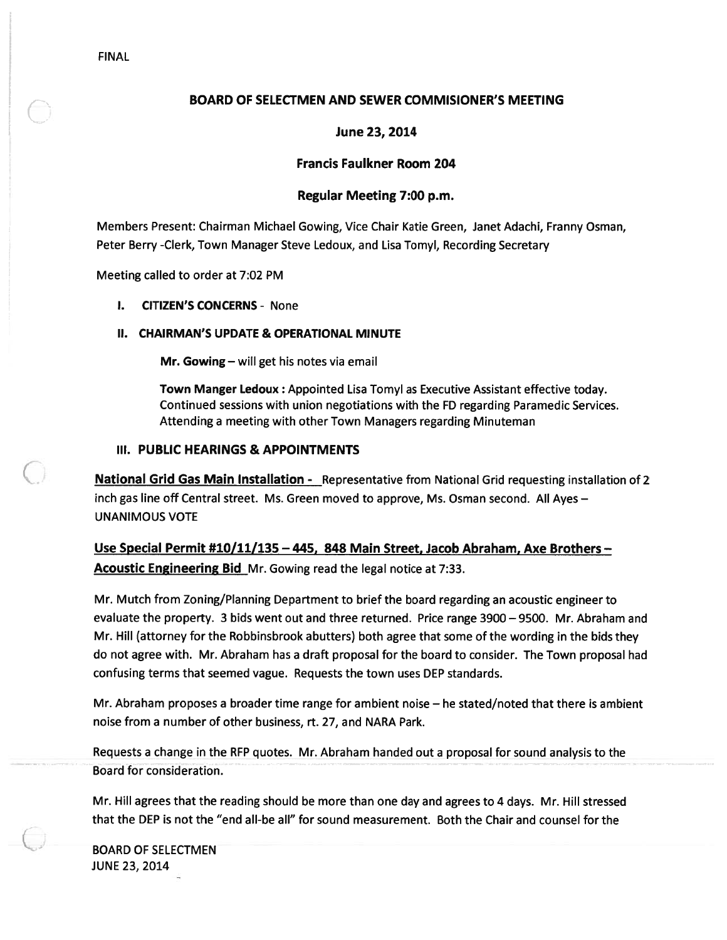# BOARD OF SELECTMEN AND SEWER COMMISIONER'S MEETING

# June 23, 2014

# Francis Faulkner Room 204

# Regular Meeting 7:00 p.m.

Members Present: Chairman Michael Gowing, Vice Chair Katie Green, Janet Adachi, Franny Osman, Peter Berry -Clerk, Town Manager Steve Ledoux, and Lisa Tomyl, Recording Secretary

Meeting called to order at 7:02 PM

I. CITIZEN'S CONCERNS - None

## II. CHAIRMAN'S UPDATE & OPERATIONAL MINUTE

Mr. Gowing — will ge<sup>t</sup> his notes via email

Town Manger Ledoux : Appointed Lisa Tomyl as Executive Assistant effective today. Continued sessions with union negotiations with the FD regarding Paramedic Services. Attending <sup>a</sup> meeting with other Town Managers regarding Minuteman

# III. PUBLIC HEARINGS & APPOINTMENTS

**National Grid Gas Main Installation -** Representative from National Grid requesting installation of 2 inch gas line off Central street. Ms. Green moved to approve, Ms. Osman second. All Ayes — UNANIMOUS VOTE

Use Special Permit #10/11/135 — 445, 848 Main Street, Jacob Abraham, Axe Brothers — Acoustic Engineering Bid Mr. Gowing read the legal notice at 7:33.

Mr. Mutch from Zoning/Planning Department to brief the board regarding an acoustic engineer to evaluate the property. 3 bids went out and three returned. Price range 3900 —9500. Mr. Abraham and Mr. Hill (attorney for the Robbinsbrook abutters) both agree that some of the wording in the bids they do not agree with. Mr. Abraham has <sup>a</sup> draft proposal for the board to consider. The Town proposal had confusing terms that seemed vague. Requests the town uses DEP standards.

Mr. Abraham proposes <sup>a</sup> broader time range for ambient noise — he stated/noted that there is ambient noise from <sup>a</sup> number of other business, rt. 27, and NARA Park.

Requests <sup>a</sup> change in the RFP quotes. Mr. Abraham handed out <sup>a</sup> proposal for sound analysis to the Board for consideration.

Mr. Hill agrees that the reading should be more than one day and agrees to 4 days. Mr. Hill stressed that the DEP is not the "end all-be all" for sound measurement. Both the Chair and counsel for the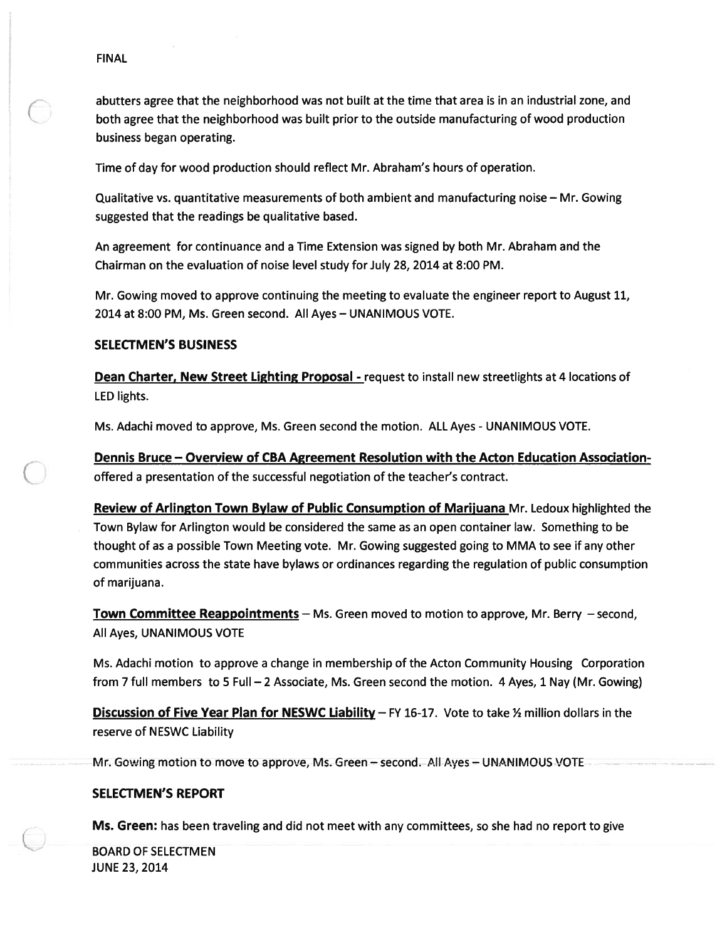abutters agree that the neighborhood was not built at the time that area is in an industrial zone, and both agree that the neighborhood was built prior to the outside manufacturing of wood production business began operating.

Time of day for wood production should reflect Mr. Abraham's hours of operation.

Qualitative vs. quantitative measurements of both ambient and manufacturing noise — Mr. Gowing suggested that the readings be qualitative based.

An agreemen<sup>t</sup> for continuance and <sup>a</sup> Time Extension was signed by both Mr. Abraham and the Chairman on the evaluation of noise level study for July 28, 2014 at 8:00 PM.

Mr. Gowing moved to approve continuing the meeting to evaluate the engineer repor<sup>t</sup> to August 11, 2014 at 8:00 PM, Ms. Green second. All Ayes — UNANIMOUS VOTE.

#### SELECTMEN'S BUSINESS

Dean Charter, New Street Lighting Proposal - request to install new streetlights at 4 locations of LED lights.

Ms. Adachi moved to approve, Ms. Green second the motion. ALL Ayes - UNANIMOUS VOTE.

Dennis Bruce — Overview of CBA Agreement Resolution with the Acton Education Associationoffered <sup>a</sup> presentation of the successful negotiation of the teacher's contract.

Review of Arlington Town Bylaw of Public Consumption of Marijuana Mr. Ledoux highlighted the Town Bylaw for Arlington would be considered the same as an open container law. Something to be thought of as <sup>a</sup> possible Town Meeting vote. Mr. Gowing suggested going to MMA to see if any other communities across the state have bylaws or ordinances regarding the regulation of public consumption of marijuana.

Town Committee Reappointments — Ms. Green moved to motion to approve, Mr. Berry — second, All Ayes, UNANIMOUS VOTE

Ms. Adachi motion to approve <sup>a</sup> change in membership of the Acton Community Housing Corporation from 7 full members to 5 Full — 2 Associate, Ms. Green second the motion. 4 Ayes, 1 Nay (Mr. Gowing)

**Discussion of Five Year Plan for NESWC Liability** – FY 16-17. Vote to take  $\frac{1}{2}$  million dollars in the reserve of NESWC Liability

Mr. Gowing motion to move to approve, Ms. Green — second. All Ayes — UNANIMOUS VOTE

#### SELECTMEN'S REPORT

Ms. Green: has been traveling and did not meet with any committees, so she had no repor<sup>t</sup> to give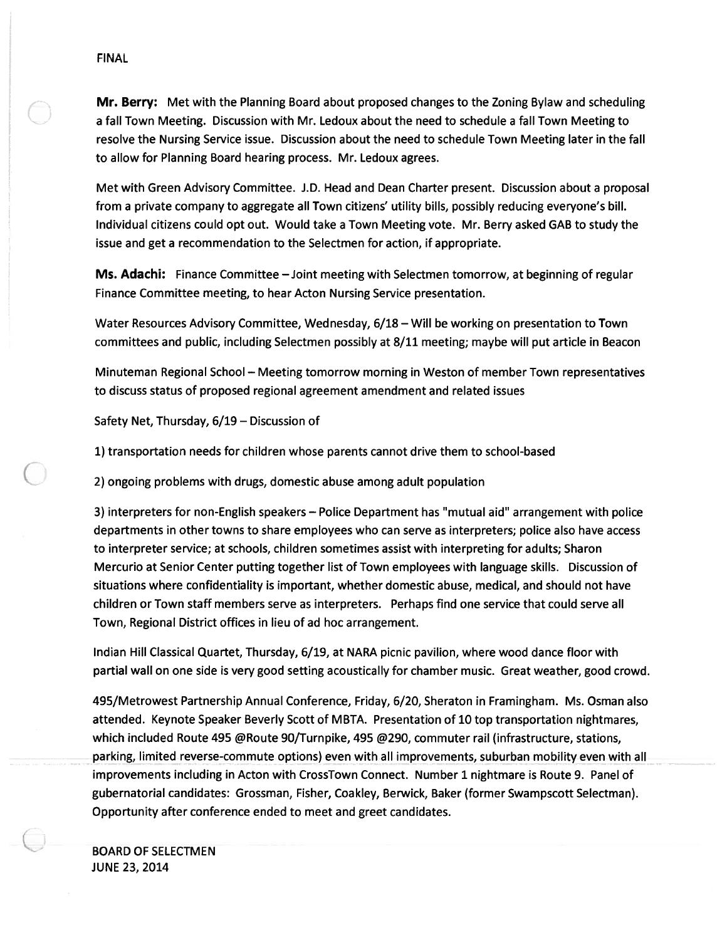Mr. Berry: Met with the Planning Board about proposed changes to the Zoning Bylaw and scheduling <sup>a</sup> fall Town Meeting. Discussion with Mr. Ledoux about the need to schedule <sup>a</sup> fall Town Meeting to resolve the Nursing Service issue. Discussion about the need to schedule Town Meeting later in the fall to allow for Planning Board hearing process. Mr. Ledoux agrees.

Met with Green Advisory Committee. J.D. Head and Dean Charter present. Discussion about <sup>a</sup> proposal from <sup>a</sup> private company to aggregate all Town citizens' utility bills, possibly reducing everyone's bill. Individual citizens could op<sup>t</sup> out. Would take <sup>a</sup> Town Meeting vote. Mr. Berry asked GAB to study the issue and ge<sup>t</sup> <sup>a</sup> recommendation to the Selectmen for action, if appropriate.

Ms. Adachi: Finance Committee - Joint meeting with Selectmen tomorrow, at beginning of regular Finance Committee meeting, to hear Acton Nursing Service presentation.

Water Resources Advisory Committee, Wednesday, 6/18 — Will be working on presentation to Town committees and public, including Selectmen possibly at 8/11 meeting; maybe will pu<sup>t</sup> article in Beacon

Minuteman Regional School — Meeting tomorrow morning in Weston of member Town representatives to discuss status of proposed regional agreemen<sup>t</sup> amendment and related issues

Safety Net, Thursday, 6/19 — Discussion of

1) transportation needs for children whose parents cannot drive them to school-based

2) ongoing problems with drugs, domestic abuse among adult population

3) interpreters for non-English speakers — Police Department has "mutual aid" arrangemen<sup>t</sup> with police departments in other towns to share employees who can serve as interpreters; police also have access to interpreter service; at schools, children sometimes assist with interpreting for adults; Sharon Mercurio at Senior Center putting together list of Town employees with language skills. Discussion of situations where confidentiality is important, whether domestic abuse, medical, and should not have children or Town staff members serve as interpreters. Perhaps find one service that could serve all Town, Regional District offices in lieu of ad hoc arrangement.

Indian Hill Classical Quartet, Thursday, 6/19, at NARA picnic pavilion, where wood dance floor with partial wall on one side is very good setting acoustically for chamber music. Great weather, good crowd.

495/Metrowest Partnership Annual Conference, Friday, 6/20, Sheraton in Framingham. Ms. Osman also attended. Keynote Speaker Beverly Scott of MBTA. Presentation of 10 top transportation nightmares, which included Route 495 @Route 90/Turnpike, 495 @290, commuter rail (infrastructure, stations, parking, limited reverse-commute options) even with all improvements, suburban mobility even with all improvements including in Acton with CrossTown Connect. Number 1 nightmare is Route 9. Panel of gubernatorial candidates: Grossman, Fisher, Coakley, Berwick, Baker (former Swampscott Selectman). Opportunity after conference ended to meet and gree<sup>t</sup> candidates.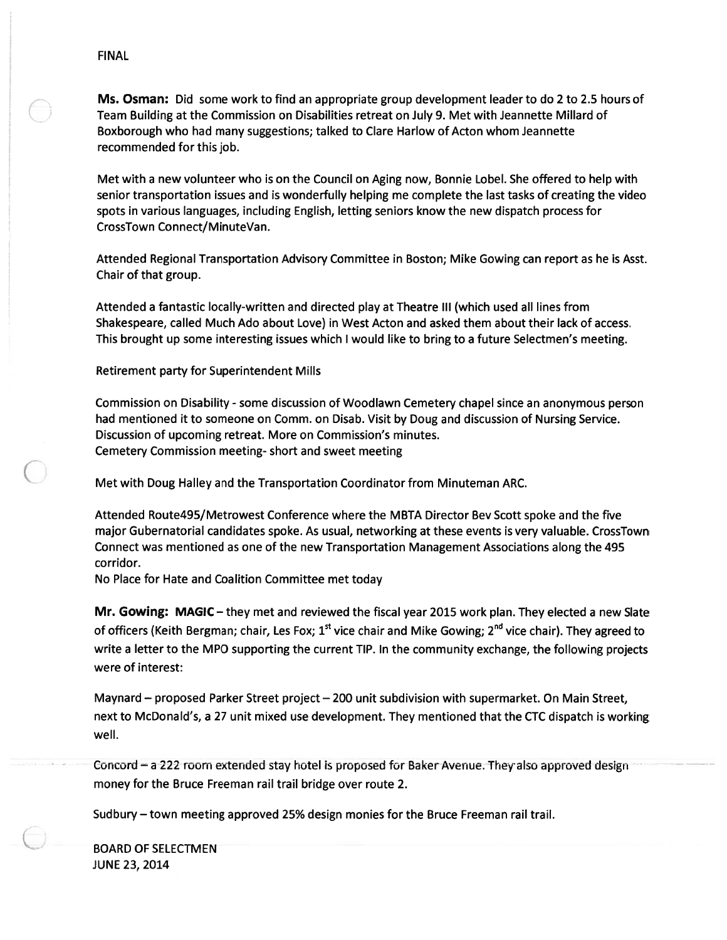Ms. Osman: Did some work to find an appropriate group development leader to do 2 to 2.5 hours of Team Building at the Commission on Disabilities retreat on July 9. Met with Jeannette Millard of Boxborough who had many suggestions; talked to Clare Harlow of Acton whom Jeannette recommended for this job.

Met with <sup>a</sup> new volunteer who is on the Council on Aging now, Bonnie Lobel. She offered to help with senior transportation issues and is wonderfully helping me complete the last tasks of creating the video spots in various languages, including English, letting seniors know the new dispatch process for CrossTown Connect/MinuteVan.

Attended Regional Transportation Advisory Committee in Boston; Mike Gowing can repor<sup>t</sup> as he is Asst. Chair of that group.

Attended <sup>a</sup> fantastic locally-written and directed play at Theatre Ill (which used all lines from Shakespeare, called Much Ado about Love) in West Acton and asked them about their lack of access. This brought up some interesting issues which I would like to bring to <sup>a</sup> future Selectmen's meeting.

Retirement party for Superintendent Mills

Commission on Disability - some discussion of Woodlawn Cemetery chapel since an anonymous person had mentioned it to someone on Comm. on Disab. Visit by Doug and discussion of Nursing Service. Discussion of upcoming retreat. More on Commission's minutes. Cemetery Commission meeting- short and sweet meeting

Met with Doug Halley and the Transportation Coordinator from Minuteman ARC.

Attended Route495/Metrowest Conference where the MBTA Director Bev Scott spoke and the five major Gubernatorial candidates spoke. As usual, networking at these events is very valuable. CrossTown Connect was mentioned as one of the new Transportation Management Associations along the 495 corridor.

No Place for Hate and Coalition Committee met today

Mr. Gowing: MAGIC — they met and reviewed the fiscal year 2015 work plan. They elected <sup>a</sup> new Slate of officers (Keith Bergman; chair, Les Fox;  $1^{st}$  vice chair and Mike Gowing;  $2^{nd}$  vice chair). They agreed to write <sup>a</sup> letter to the MPO supporting the current TIP. In the community exchange, the following projects were of interest:

Maynard — proposed Parker Street project — 200 unit subdivision with supermarket. On Main Street, next to McDonald's, <sup>a</sup> 27 unit mixed use development. They mentioned that the CTC dispatch is working well.

Concord — <sup>a</sup> <sup>222</sup> room extended stay hotel is proposed for Baker Avenue. They also approved design money for the Bruce Freeman rail trail bridge over route 2.

Sudbury — town meeting approved 25% design monies for the Bruce Freeman rail trail.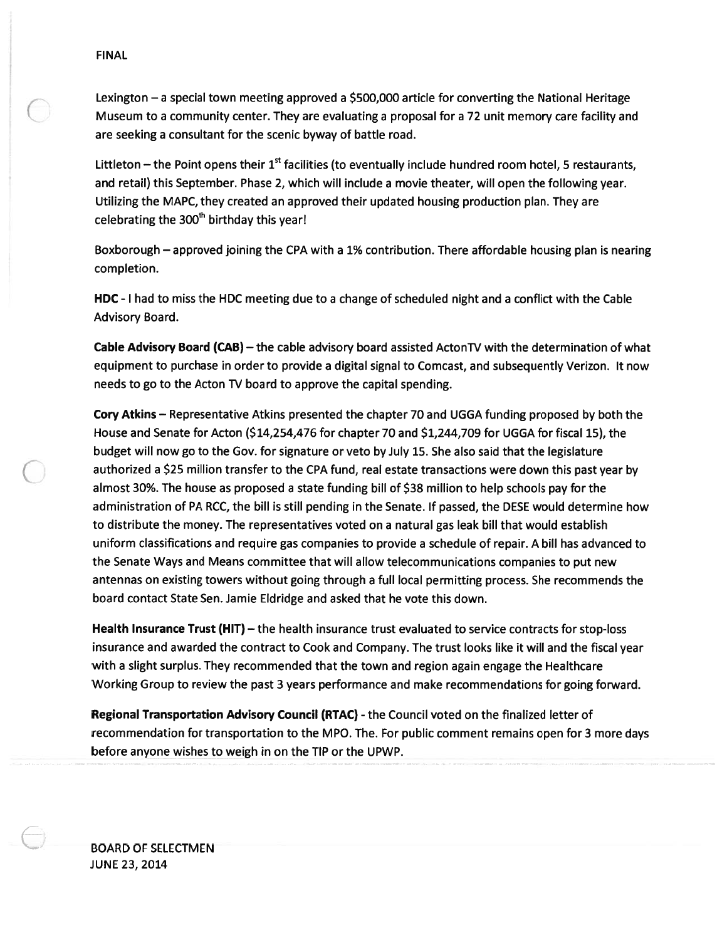Lexington – a special town meeting approved a \$500,000 article for converting the National Heritage Museum to <sup>a</sup> community center. They are evaluating <sup>a</sup> proposal for <sup>a</sup> 72 unit memory care facility and are seeking <sup>a</sup> consultant for the scenic byway of battle road.

Littleton – the Point opens their  $1<sup>st</sup>$  facilities (to eventually include hundred room hotel, 5 restaurants, and retail) this September. Phase 2, which will include <sup>a</sup> movie theater, will open the following year. Utilizing the MAPC, they created an approved their updated housing production plan. They are celebrating the  $300<sup>th</sup>$  birthday this year!

Boxborough — approved joining the CPA with <sup>a</sup> 1% contribution. There affordable housing plan is nearing completion.

HDC - I had to miss the HDC meeting due to <sup>a</sup> change of scheduled night and <sup>a</sup> conflict with the Cable Advisory Board.

Cable Advisory Board (CAB) — the cable advisory board assisted ActonTV with the determination of what equipment to purchase in order to provide <sup>a</sup> digital signal to Comcast, and subsequently Verizon. It now needs to go to the Acton TV board to approve the capital spending.

Cory Atkins — Representative Atkins presented the chapter 70 and UGGA funding proposed by both the House and Senate for Acton (\$14,254,476 for chapter 70 and \$1,244,709 for UGGA for fiscal 15), the budget will now go to the Gov. for signature or veto by July 15. She also said that the legislature authorized <sup>a</sup> \$25 million transfer to the CPA fund, real estate transactions were down this pas<sup>t</sup> year by almost 30%. The house as proposed <sup>a</sup> state funding bill of \$38 million to help schools pay for the administration of PA RCC, the bill is still pending in the Senate. If passed, the DESE would determine how to distribute the money. The representatives voted on <sup>a</sup> natural gas leak bill that would establish uniform classifications and require gas companies to provide <sup>a</sup> schedule of repair. A bill has advanced to the Senate Ways and Means committee that will allow telecommunications companies to pu<sup>t</sup> new antennas on existing towers without going through <sup>a</sup> full local permitting process. She recommends the board contact State Sen. Jamie Eldridge and asked that he vote this down. FINAL<br>Lexington – a special town meeting approved a S500,000 article for converting the National Heritage<br>Missum to a community centre. They are evaluating a proposal for a 72 unit memory care facility are<br>reserved a const

Health Insurance Trust (HIT) — the health insurance trust evaluated to service contracts for stop-loss insurance and awarded the contract to Cook and Company. The trust looks like it will and the fiscal year with <sup>a</sup> slight surplus. They recommended that the town and region again engage the Healthcare Working Group to review the pas<sup>t</sup> 3 years performance and make recommendations for going forward.

Regional Transportation Advisory Council (RTAC) - the Council voted on the finalized letter of recommendation for transportation to the MPO. The. For public comment remains open for 3 more days